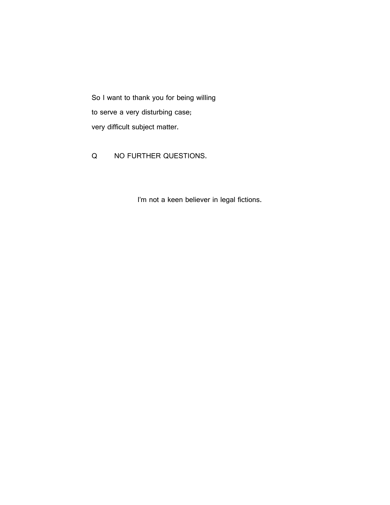So I want to thank you for being willing to serve a very disturbing case; very difficult subject matter.

Q NO FURTHER QUESTIONS.

I'm not a keen believer in legal fictions.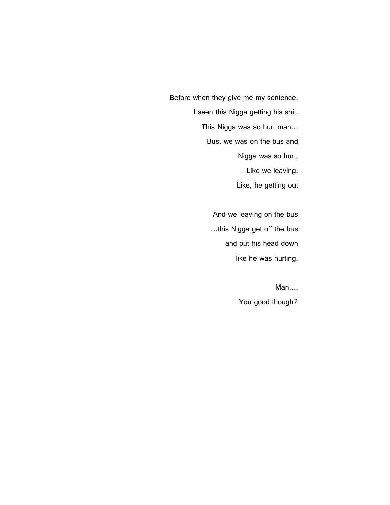Before when they give me my sentence, I seen this Nigga getting his shit. This Nigga was so hurt man… Bus, we was on the bus and Nigga was so hurt, Like we leaving, Like, he getting out

> And we leaving on the bus …this Nigga get off the bus and put his head down like he was hurting.

> > Man…. You good though?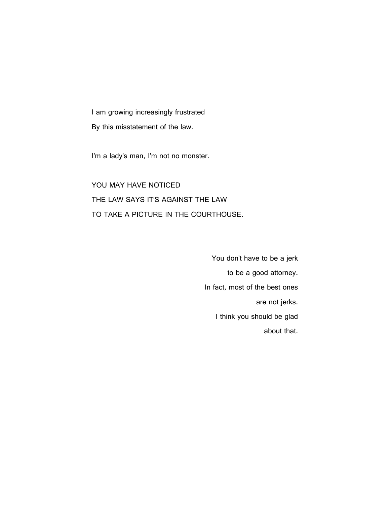I am growing increasingly frustrated By this misstatement of the law.

I'm a lady's man, I'm not no monster.

YOU MAY HAVE NOTICED THE LAW SAYS IT'S AGAINST THE LAW TO TAKE A PICTURE IN THE COURTHOUSE.

> You don't have to be a jerk to be a good attorney. In fact, most of the best ones are not jerks. I think you should be glad about that.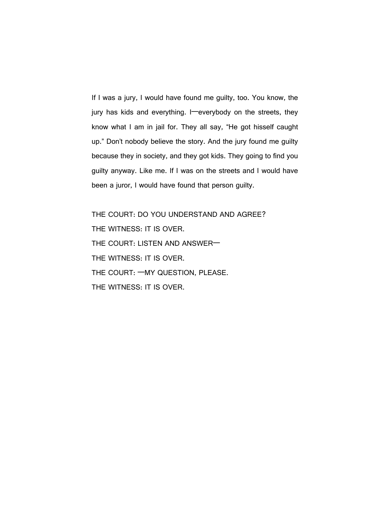If I was a jury, I would have found me guilty, too. You know, the jury has kids and everything. I—everybody on the streets, they know what I am in jail for. They all say, "He got hisself caught up." Don't nobody believe the story. And the jury found me guilty because they in society, and they got kids. They going to find you guilty anyway. Like me. If I was on the streets and I would have been a juror, I would have found that person guilty.

THE COURT: DO YOU UNDERSTAND AND AGREE? THE WITNESS: IT IS OVER. THE COURT: LISTEN AND ANSWER— THE WITNESS: IT IS OVER. THE COURT: —MY QUESTION, PLEASE. THE WITNESS: IT IS OVER.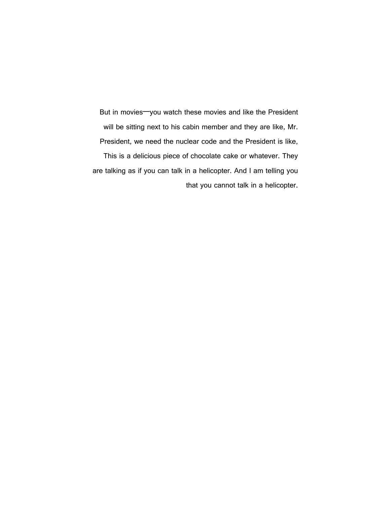But in movies—you watch these movies and like the President will be sitting next to his cabin member and they are like, Mr. President, we need the nuclear code and the President is like, This is a delicious piece of chocolate cake or whatever. They are talking as if you can talk in a helicopter. And I am telling you that you cannot talk in a helicopter.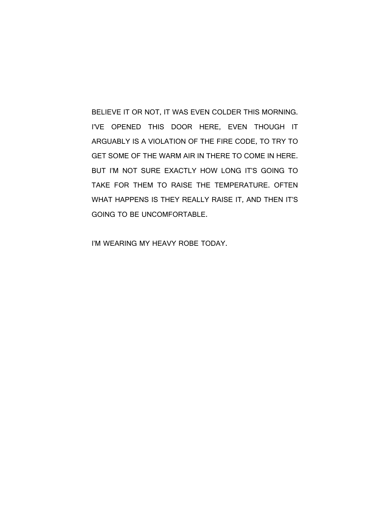BELIEVE IT OR NOT, IT WAS EVEN COLDER THIS MORNING. I'VE OPENED THIS DOOR HERE, EVEN THOUGH IT ARGUABLY IS A VIOLATION OF THE FIRE CODE, TO TRY TO GET SOME OF THE WARM AIR IN THERE TO COME IN HERE. BUT I'M NOT SURE EXACTLY HOW LONG IT'S GOING TO TAKE FOR THEM TO RAISE THE TEMPERATURE. OFTEN WHAT HAPPENS IS THEY REALLY RAISE IT, AND THEN IT'S GOING TO BE UNCOMFORTABLE.

I'M WEARING MY HEAVY ROBE TODAY.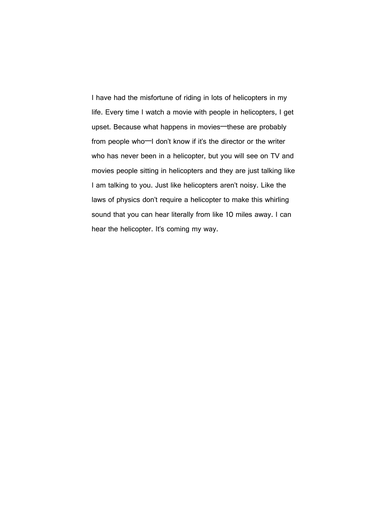I have had the misfortune of riding in lots of helicopters in my life. Every time I watch a movie with people in helicopters, I get upset. Because what happens in movies—these are probably from people who—I don't know if it's the director or the writer who has never been in a helicopter, but you will see on TV and movies people sitting in helicopters and they are just talking like I am talking to you. Just like helicopters aren't noisy. Like the laws of physics don't require a helicopter to make this whirling sound that you can hear literally from like 10 miles away. I can hear the helicopter. It's coming my way.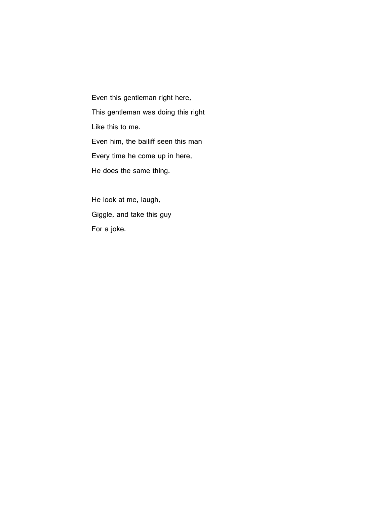Even this gentleman right here, This gentleman was doing this right Like this to me. Even him, the bailiff seen this man Every time he come up in here, He does the same thing.

He look at me, laugh, Giggle, and take this guy For a joke.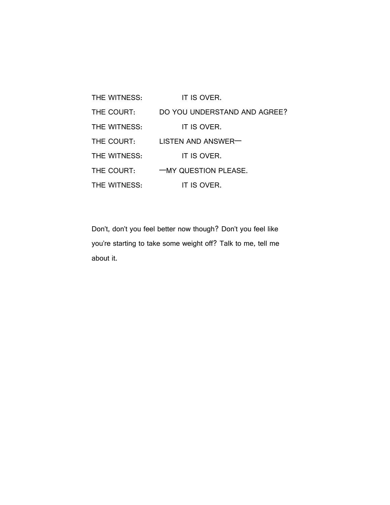| THE WITNESS: | IT IS OVER.                  |
|--------------|------------------------------|
| THE COURT:   | DO YOU UNDERSTAND AND AGREE? |
| THE WITNESS: | IT IS OVER.                  |
| THE COURT:   | LISTEN AND ANSWER            |
| THE WITNESS: | IT IS OVER.                  |
| THE COURT:   | -MY QUESTION PLEASE.         |
| THE WITNESS: | IT IS OVER.                  |

Don't, don't you feel better now though? Don't you feel like you're starting to take some weight off? Talk to me, tell me about it.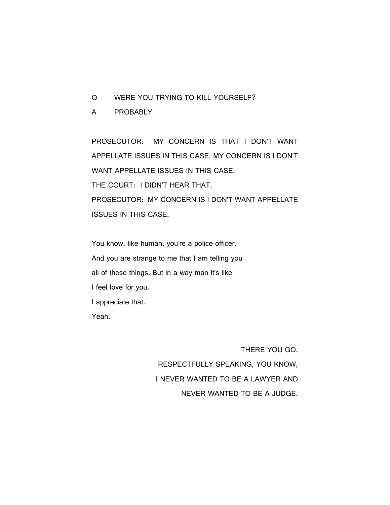- Q WERE YOU TRYING TO KILL YOURSELF?
- A PROBABLY

PROSECUTOR: MY CONCERN IS THAT I DON'T WANT APPELLATE ISSUES IN THIS CASE. MY CONCERN IS I DON'T WANT APPELLATE ISSUES IN THIS CASE. THE COURT: I DIDN'T HEAR THAT. PROSECUTOR: MY CONCERN IS I DON'T WANT APPELLATE ISSUES IN THIS CASE.

You know, like human, you're a police officer. And you are strange to me that I am telling you all of these things. But in a way man it's like I feel love for you. I appreciate that. Yeah.

> THERE YOU GO. RESPECTFULLY SPEAKING, YOU KNOW, I NEVER WANTED TO BE A LAWYER AND NEVER WANTED TO BE A JUDGE.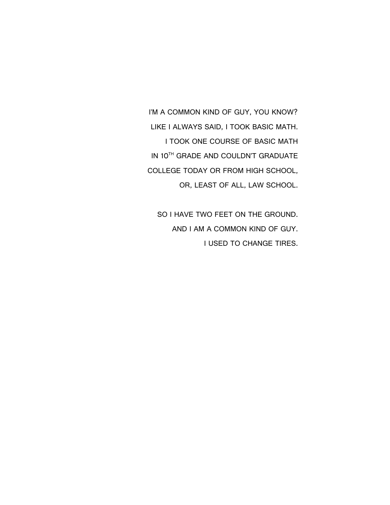I'M A COMMON KIND OF GUY, YOU KNOW? LIKE I ALWAYS SAID, I TOOK BASIC MATH. I TOOK ONE COURSE OF BASIC MATH IN 10TH GRADE AND COULDN'T GRADUATE COLLEGE TODAY OR FROM HIGH SCHOOL, OR, LEAST OF ALL, LAW SCHOOL.

SO I HAVE TWO FEET ON THE GROUND. AND I AM A COMMON KIND OF GUY. I USED TO CHANGE TIRES.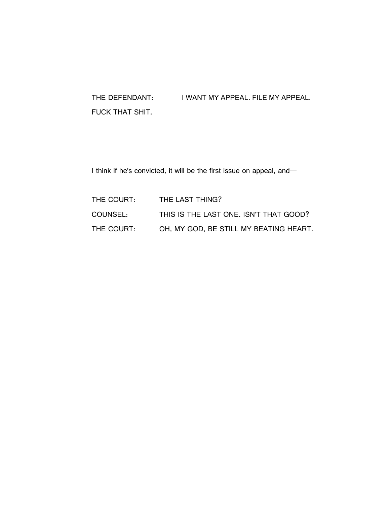## THE DEFENDANT: I WANT MY APPEAL. FILE MY APPEAL. FUCK THAT SHIT.

I think if he's convicted, it will be the first issue on appeal, and-

| THE COURT: | THE LAST THING?                        |
|------------|----------------------------------------|
| COUNSEL:   | THIS IS THE LAST ONE. ISN'T THAT GOOD? |
| THE COURT: | OH, MY GOD, BE STILL MY BEATING HEART. |